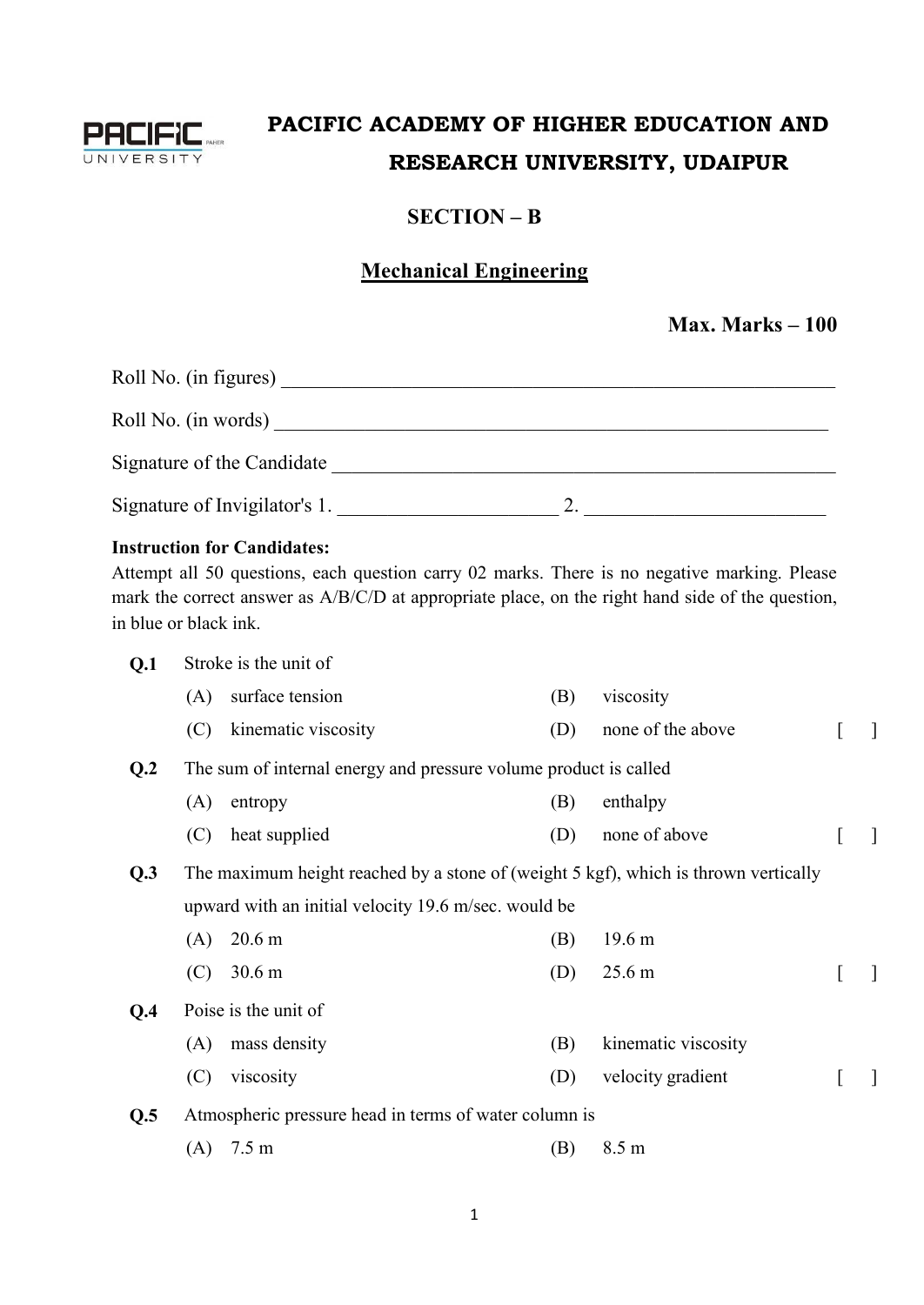

## **PACIFIC ACADEMY OF HIGHER EDUCATION AND RESEARCH UNIVERSITY, UDAIPUR**

## **SECTION – B**

## **Mechanical Engineering**

|  | <b>Max. Marks – 100</b> |  |
|--|-------------------------|--|
|--|-------------------------|--|

| Roll No. (in figures)         |  |
|-------------------------------|--|
| Roll No. (in words)           |  |
| Signature of the Candidate    |  |
| Signature of Invigilator's 1. |  |

## **Instruction for Candidates:**

Attempt all 50 questions, each question carry 02 marks. There is no negative marking. Please mark the correct answer as A/B/C/D at appropriate place, on the right hand side of the question, in blue or black ink.

| Q.1            |     | Stroke is the unit of                                                               |     |                     |              |
|----------------|-----|-------------------------------------------------------------------------------------|-----|---------------------|--------------|
|                | (A) | surface tension                                                                     | (B) | viscosity           |              |
|                | (C) | kinematic viscosity                                                                 | (D) | none of the above   | $\mathbf{1}$ |
| Q <sub>2</sub> |     | The sum of internal energy and pressure volume product is called                    |     |                     |              |
|                | (A) | entropy                                                                             | (B) | enthalpy            |              |
|                | (C) | heat supplied                                                                       | (D) | none of above       | -1           |
| Q.3            |     | The maximum height reached by a stone of (weight 5 kgf), which is thrown vertically |     |                     |              |
|                |     | upward with an initial velocity 19.6 m/sec. would be                                |     |                     |              |
|                | (A) | 20.6 <sub>m</sub>                                                                   | (B) | 19.6 <sub>m</sub>   |              |
|                | (C) | 30.6 <sub>m</sub>                                                                   | (D) | 25.6 <sub>m</sub>   | $\mathbf{1}$ |
| Q.4            |     | Poise is the unit of                                                                |     |                     |              |
|                | (A) | mass density                                                                        | (B) | kinematic viscosity |              |
|                | (C) | viscosity                                                                           | (D) | velocity gradient   | $\perp$      |
| Q.5            |     | Atmospheric pressure head in terms of water column is                               |     |                     |              |
|                | (A) | 7.5 <sub>m</sub>                                                                    | (B) | 8.5 m               |              |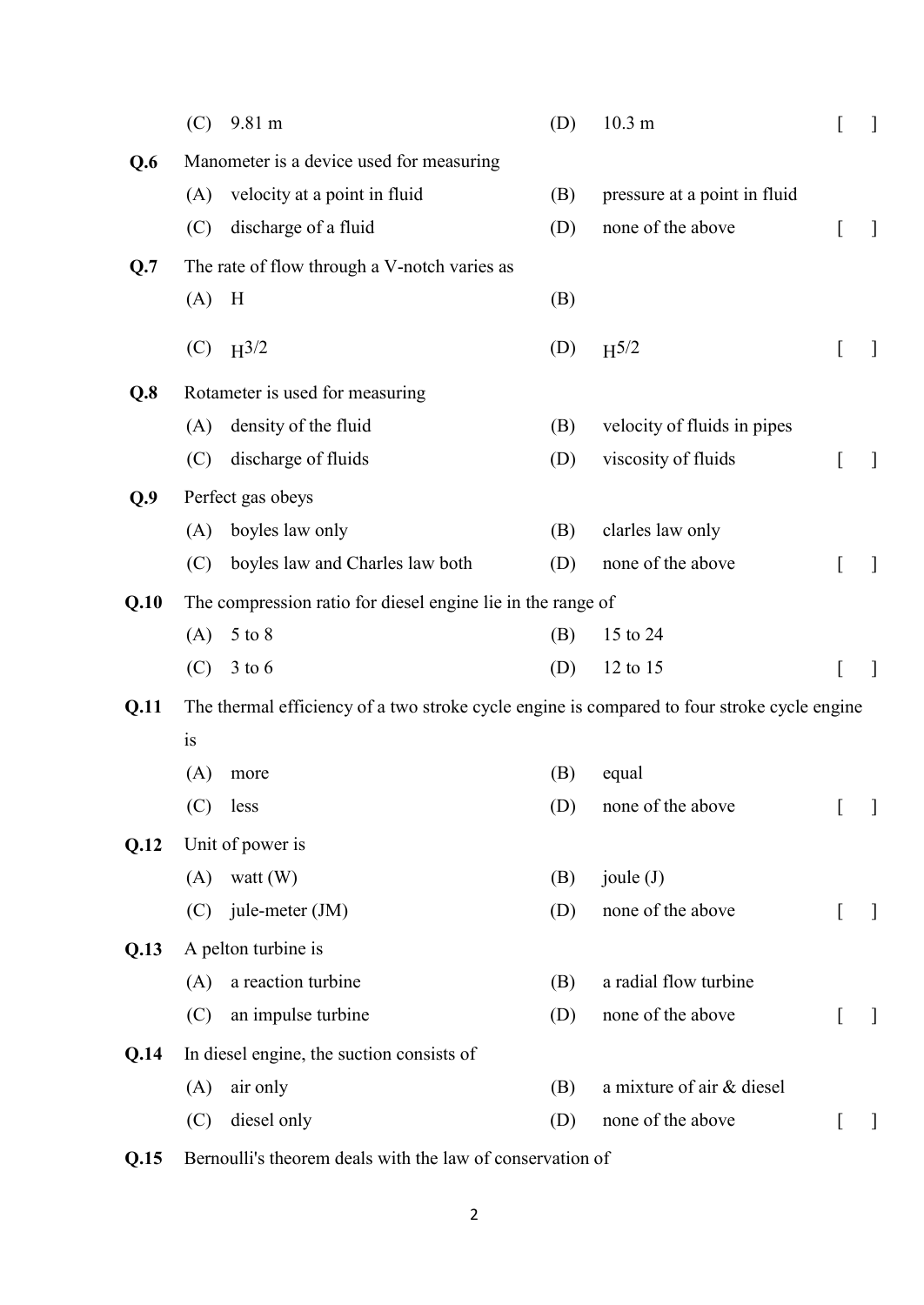|      | (C) | 9.81 m                                                                                      | (D) | 10.3 <sub>m</sub>            |   |              |
|------|-----|---------------------------------------------------------------------------------------------|-----|------------------------------|---|--------------|
| Q.6  |     | Manometer is a device used for measuring                                                    |     |                              |   |              |
|      | (A) | velocity at a point in fluid                                                                | (B) | pressure at a point in fluid |   |              |
|      | (C) | discharge of a fluid                                                                        | (D) | none of the above            |   | $\perp$      |
| Q.7  |     | The rate of flow through a V-notch varies as                                                |     |                              |   |              |
|      | (A) | H                                                                                           | (B) |                              |   |              |
|      |     | (C) $H^{3/2}$                                                                               | (D) | $H^{5/2}$                    | I | $\perp$      |
| Q.8  |     | Rotameter is used for measuring                                                             |     |                              |   |              |
|      | (A) | density of the fluid                                                                        | (B) | velocity of fluids in pipes  |   |              |
|      | (C) | discharge of fluids                                                                         | (D) | viscosity of fluids          | I | $\mathbf{1}$ |
| Q.9  |     | Perfect gas obeys                                                                           |     |                              |   |              |
|      | (A) | boyles law only                                                                             | (B) | clarles law only             |   |              |
|      | (C) | boyles law and Charles law both                                                             | (D) | none of the above            |   | $\perp$      |
| Q.10 |     | The compression ratio for diesel engine lie in the range of                                 |     |                              |   |              |
|      | (A) | 5 to 8                                                                                      | (B) | 15 to 24                     |   |              |
|      | (C) | $3$ to 6                                                                                    | (D) | 12 to 15                     |   | -            |
| Q.11 |     | The thermal efficiency of a two stroke cycle engine is compared to four stroke cycle engine |     |                              |   |              |
|      | is  |                                                                                             |     |                              |   |              |
|      | (A) | more                                                                                        | (B) | equal                        |   |              |
|      |     | $(C)$ less                                                                                  | (D) | none of the above            |   |              |
| Q.12 |     | Unit of power is                                                                            |     |                              |   |              |
|      | (A) | watt $(W)$                                                                                  | (B) | joule $(J)$                  |   |              |
|      | (C) | jule-meter (JM)                                                                             | (D) | none of the above            |   | $\perp$      |
| Q.13 |     | A pelton turbine is                                                                         |     |                              |   |              |
|      | (A) | a reaction turbine                                                                          | (B) | a radial flow turbine        |   |              |
|      | (C) | an impulse turbine                                                                          | (D) | none of the above            | I | $\mathbf{I}$ |
| Q.14 |     | In diesel engine, the suction consists of                                                   |     |                              |   |              |
|      | (A) | air only                                                                                    | (B) | a mixture of air & diesel    |   |              |
|      | (C) | diesel only                                                                                 | (D) | none of the above            | t | $\perp$      |
|      |     |                                                                                             |     |                              |   |              |

**Q.15** Bernoulli's theorem deals with the law of conservation of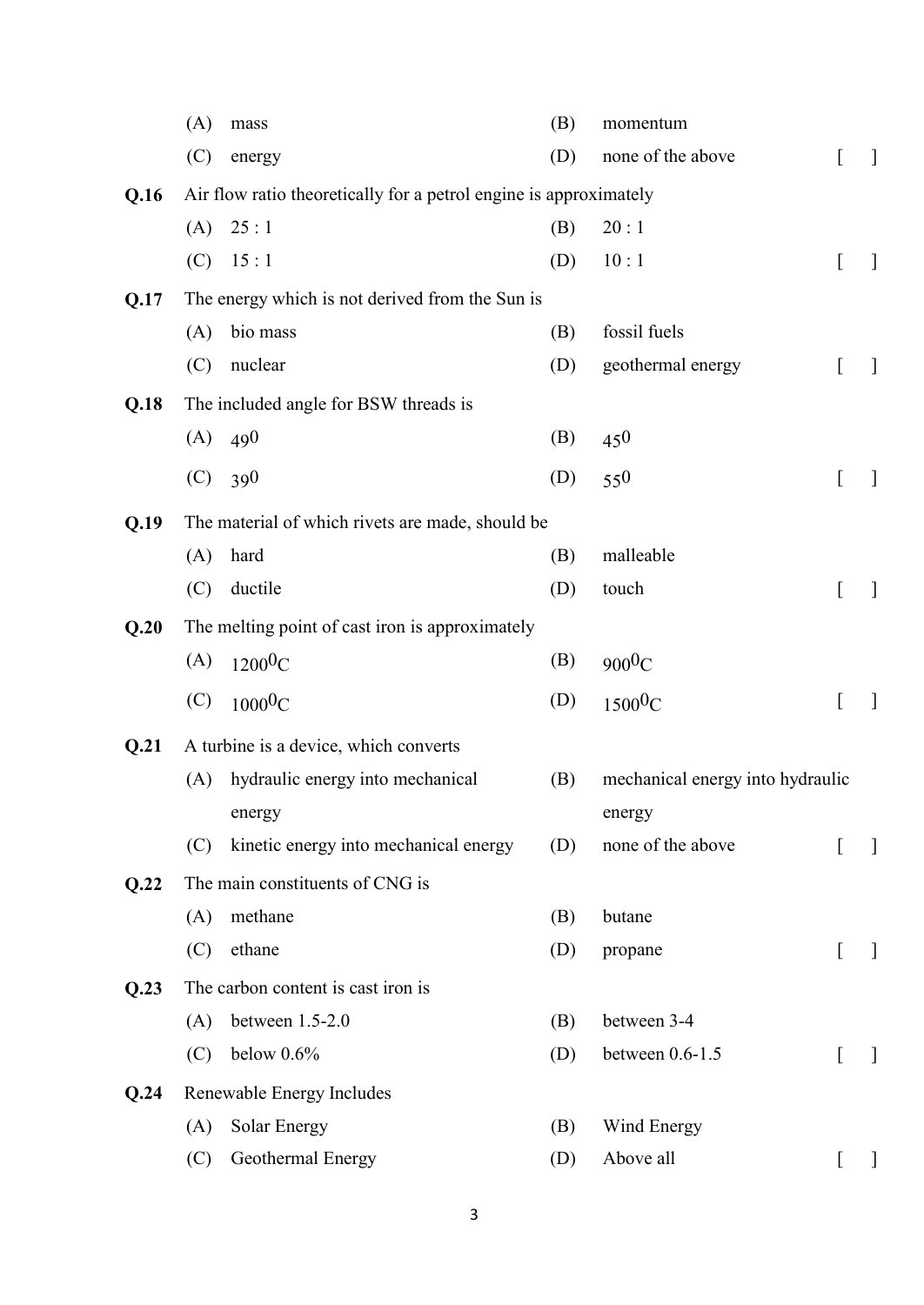|      | (A) | mass                                                              | (B) | momentum                         |              |              |
|------|-----|-------------------------------------------------------------------|-----|----------------------------------|--------------|--------------|
|      | (C) | energy                                                            | (D) | none of the above                | L            | $\mathbf{1}$ |
| Q.16 |     | Air flow ratio theoretically for a petrol engine is approximately |     |                                  |              |              |
|      | (A) | 25:1                                                              | (B) | 20:1                             |              |              |
|      | (C) | 15:1                                                              | (D) | 10:1                             | I            | $\mathbf{I}$ |
| Q.17 |     | The energy which is not derived from the Sun is                   |     |                                  |              |              |
|      | (A) | bio mass                                                          | (B) | fossil fuels                     |              |              |
|      | (C) | nuclear                                                           | (D) | geothermal energy                | L            | $\mathbf{I}$ |
| Q.18 |     | The included angle for BSW threads is                             |     |                                  |              |              |
|      | (A) | 490                                                               | (B) | 450                              |              |              |
|      | (C) | 390                                                               | (D) | 550                              | <sub>[</sub> | $\mathbf{1}$ |
| Q.19 |     | The material of which rivets are made, should be                  |     |                                  |              |              |
|      | (A) | hard                                                              | (B) | malleable                        |              |              |
|      | (C) | ductile                                                           | (D) | touch                            | L            | $\mathbf{1}$ |
|      |     | The melting point of cast iron is approximately                   |     |                                  |              |              |
| Q.20 | (A) |                                                                   | (B) |                                  |              |              |
|      |     | $1200$ <sup>O</sup> C                                             |     | $900^0C$                         |              |              |
|      | (C) | $1000\textrm{0C}$                                                 | (D) | 1500 <sup>0</sup> C              | L            | $\mathbf{1}$ |
| Q.21 |     | A turbine is a device, which converts                             |     |                                  |              |              |
|      | (A) | hydraulic energy into mechanical                                  | (B) | mechanical energy into hydraulic |              |              |
|      |     | energy                                                            |     | energy                           |              |              |
|      | (C) | kinetic energy into mechanical energy                             | (D) | none of the above                | L            | $\mathbf{I}$ |
| Q.22 |     | The main constituents of CNG is                                   |     |                                  |              |              |
|      | (A) | methane                                                           | (B) | butane                           |              |              |
|      | (C) | ethane                                                            | (D) | propane                          | L            | $\mathbf{I}$ |
| Q.23 |     | The carbon content is cast iron is                                |     |                                  |              |              |
|      | (A) | between 1.5-2.0                                                   | (B) | between 3-4                      |              |              |
|      | (C) | below $0.6\%$                                                     | (D) | between 0.6-1.5                  | L            | $\mathbf{1}$ |
| Q.24 |     | Renewable Energy Includes                                         |     |                                  |              |              |
|      | (A) | Solar Energy                                                      | (B) | Wind Energy                      |              |              |
|      | (C) | Geothermal Energy                                                 | (D) | Above all                        | L            | $\mathbf{I}$ |
|      |     |                                                                   |     |                                  |              |              |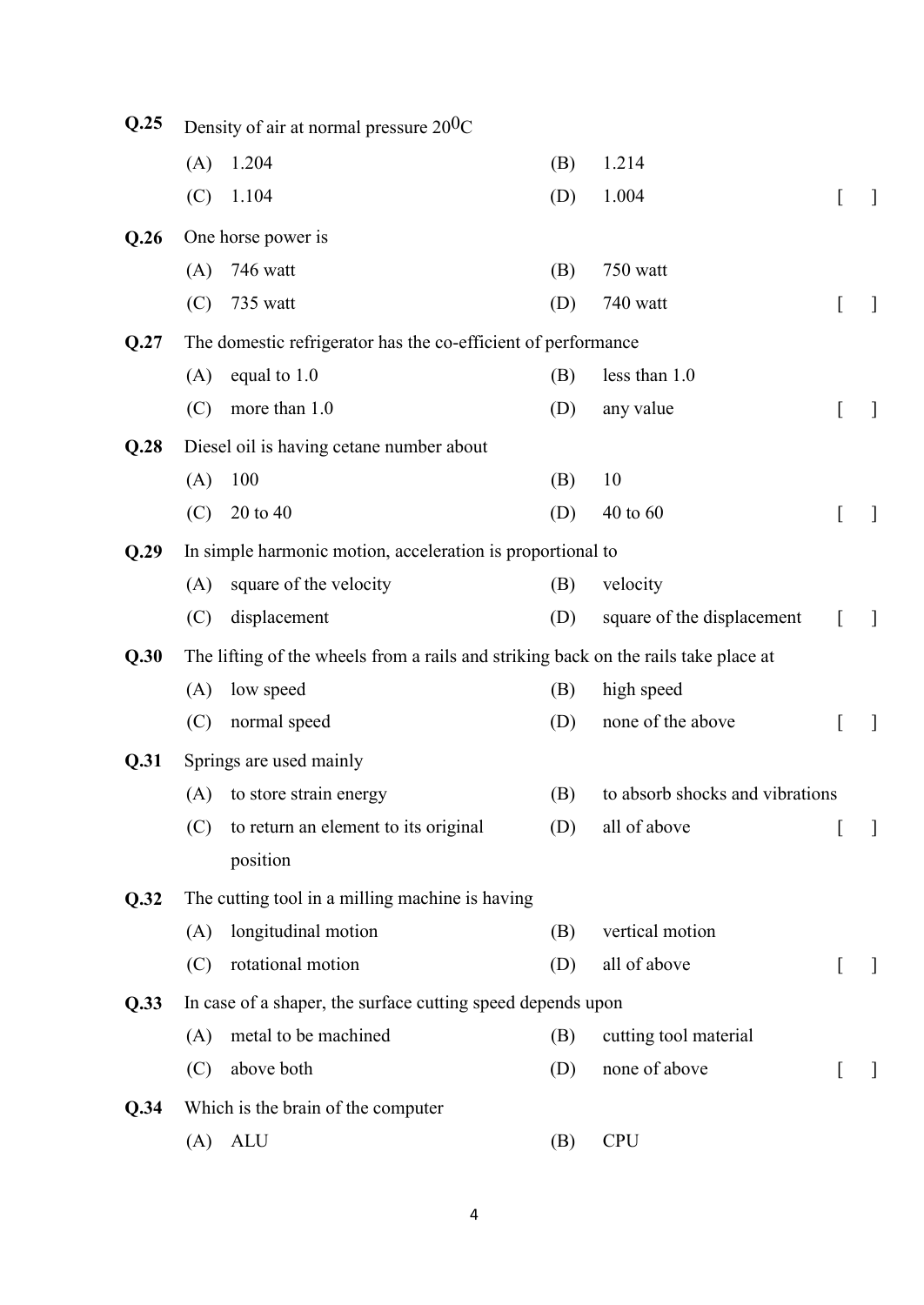| Q.25 |     | Density of air at normal pressure $20^{0}$ C                                        |     |                                 |                  |              |
|------|-----|-------------------------------------------------------------------------------------|-----|---------------------------------|------------------|--------------|
|      | (A) | 1.204                                                                               | (B) | 1.214                           |                  |              |
|      | (C) | 1.104                                                                               | (D) | 1.004                           | L                | $\mathbf{1}$ |
| Q.26 |     | One horse power is                                                                  |     |                                 |                  |              |
|      | (A) | 746 watt                                                                            | (B) | 750 watt                        |                  |              |
|      | (C) | 735 watt                                                                            | (D) | 740 watt                        | L                | ]            |
| Q.27 |     | The domestic refrigerator has the co-efficient of performance                       |     |                                 |                  |              |
|      | (A) | equal to 1.0                                                                        | (B) | less than 1.0                   |                  |              |
|      | (C) | more than 1.0                                                                       | (D) | any value                       | ſ                | $\mathbf{I}$ |
| Q.28 |     | Diesel oil is having cetane number about                                            |     |                                 |                  |              |
|      | (A) | 100                                                                                 | (B) | 10                              |                  |              |
|      | (C) | 20 to 40                                                                            | (D) | 40 to 60                        | L                | $\mathbf{I}$ |
| Q.29 |     | In simple harmonic motion, acceleration is proportional to                          |     |                                 |                  |              |
|      | (A) | square of the velocity                                                              | (B) | velocity                        |                  |              |
|      | (C) | displacement                                                                        | (D) | square of the displacement      | $\left[ \right]$ | $\mathbf{1}$ |
| Q.30 |     | The lifting of the wheels from a rails and striking back on the rails take place at |     |                                 |                  |              |
|      | (A) | low speed                                                                           | (B) | high speed                      |                  |              |
|      | (C) | normal speed                                                                        | (D) | none of the above               | L                | $\mathbf{1}$ |
| Q.31 |     | Springs are used mainly                                                             |     |                                 |                  |              |
|      | (A) | to store strain energy                                                              | (B) | to absorb shocks and vibrations |                  |              |
|      | (C) | to return an element to its original                                                | (D) | all of above                    |                  |              |
|      |     | position                                                                            |     |                                 |                  |              |
| Q.32 |     | The cutting tool in a milling machine is having                                     |     |                                 |                  |              |
|      | (A) | longitudinal motion                                                                 | (B) | vertical motion                 |                  |              |
|      | (C) | rotational motion                                                                   | (D) | all of above                    |                  | $\mathbf{I}$ |
| Q.33 |     | In case of a shaper, the surface cutting speed depends upon                         |     |                                 |                  |              |
|      | (A) | metal to be machined                                                                | (B) | cutting tool material           |                  |              |
|      | (C) | above both                                                                          | (D) | none of above                   |                  | $\mathbf{1}$ |
| Q.34 |     | Which is the brain of the computer                                                  |     |                                 |                  |              |
|      | (A) | <b>ALU</b>                                                                          | (B) | <b>CPU</b>                      |                  |              |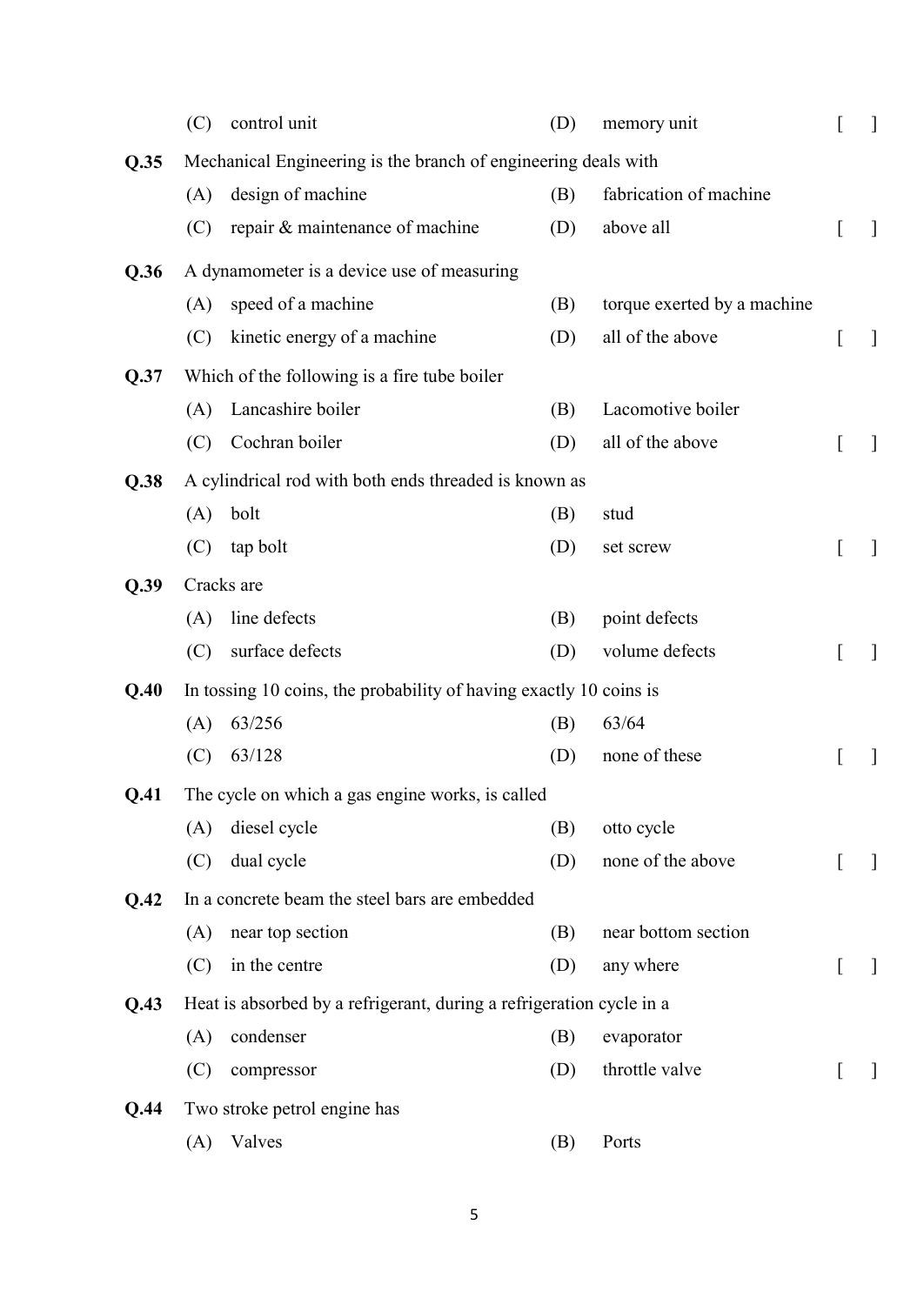|      | (C) | control unit                                                         | (D) | memory unit                 | [ | $\mathbf{1}$ |
|------|-----|----------------------------------------------------------------------|-----|-----------------------------|---|--------------|
| Q.35 |     | Mechanical Engineering is the branch of engineering deals with       |     |                             |   |              |
|      | (A) | design of machine                                                    | (B) | fabrication of machine      |   |              |
|      | (C) | repair & maintenance of machine                                      | (D) | above all                   | L | $\mathbf{I}$ |
| Q.36 |     | A dynamometer is a device use of measuring                           |     |                             |   |              |
|      | (A) | speed of a machine                                                   | (B) | torque exerted by a machine |   |              |
|      | (C) | kinetic energy of a machine                                          | (D) | all of the above            | L | $\mathbf{I}$ |
| Q.37 |     | Which of the following is a fire tube boiler                         |     |                             |   |              |
|      | (A) | Lancashire boiler                                                    | (B) | Lacomotive boiler           |   |              |
|      | (C) | Cochran boiler                                                       | (D) | all of the above            | L | $\mathbf{I}$ |
| Q.38 |     | A cylindrical rod with both ends threaded is known as                |     |                             |   |              |
|      | (A) | bolt                                                                 | (B) | stud                        |   |              |
|      | (C) | tap bolt                                                             | (D) | set screw                   | L | $\mathbf{1}$ |
| Q.39 |     | Cracks are                                                           |     |                             |   |              |
|      | (A) | line defects                                                         | (B) | point defects               |   |              |
|      | (C) | surface defects                                                      | (D) | volume defects              |   | $\mathbf{I}$ |
| Q.40 |     | In tossing 10 coins, the probability of having exactly 10 coins is   |     |                             |   |              |
|      | (A) | 63/256                                                               | (B) | 63/64                       |   |              |
|      | (C) | 63/128                                                               | (D) | none of these               | L | ]            |
| Q.41 |     | The cycle on which a gas engine works, is called                     |     |                             |   |              |
|      | (A) | diesel cycle                                                         | (B) | otto cycle                  |   |              |
|      | (C) | dual cycle                                                           | (D) | none of the above           | I | $\mathbf{I}$ |
| Q.42 |     | In a concrete beam the steel bars are embedded                       |     |                             |   |              |
|      | (A) | near top section                                                     | (B) | near bottom section         |   |              |
|      | (C) | in the centre                                                        | (D) | any where                   | L | $\mathbf{I}$ |
| Q.43 |     | Heat is absorbed by a refrigerant, during a refrigeration cycle in a |     |                             |   |              |
|      | (A) | condenser                                                            | (B) | evaporator                  |   |              |
|      | (C) | compressor                                                           | (D) | throttle valve              |   | ]            |
| Q.44 |     | Two stroke petrol engine has                                         |     |                             |   |              |
|      | (A) | Valves                                                               | (B) | Ports                       |   |              |